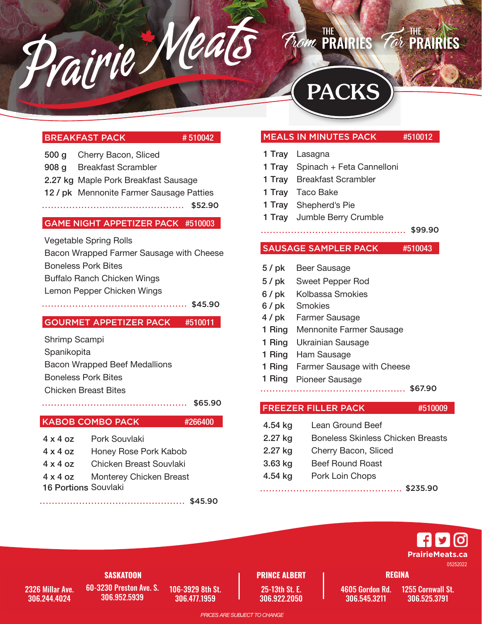

#### BREAKFAST PACK #510042

500 g Cherry Bacon, Sliced 908 g Breakfast Scrambler 2.27 kg Maple Pork Breakfast Sausage 12 / pk Mennonite Farmer Sausage Patties **.............................................. .** \$52.90

#### GAME NIGHT APPETIZER PACK #510003

Vegetable Spring Rolls

Bacon Wrapped Farmer Sausage with Cheese Boneless Pork Bites Buffalo Ranch Chicken Wings

**............................................... .** \$45.90

Lemon Pepper Chicken Wings

## GOURMET APPETIZER PACK #510011

**............................................... .** \$65.90

Shrimp Scampi Spanikopita Bacon Wrapped Beef Medallions Boneless Pork Bites Chicken Breast Bites

#### KABOB COMBO PACK #266400

4 x 4 oz Pork Souvlaki 4 x 4 oz Honey Rose Pork Kabob 4 x 4 oz Chicken Breast Souvlaki 4 x 4 oz Monterey Chicken Breast 16 Portions Souvlaki

**............................................... .** \$45.90

#### MEALS IN MINUTES PACK #510012

PACKS

**FLOW THE BRAIRIES** 

- 1 Tray Lasagna
- 1 Tray Spinach + Feta Cannelloni
- 1 Tray Breakfast Scrambler
- 1 Tray Taco Bake
- 1 Tray Shepherd's Pie
- 1 Tray Jumble Berry Crumble

**............................................... .** \$92.90

#### SAUSAGE SAMPLER PACK #510043

- Beer Sausage 5 / pk
- Sweet Pepper Rod 5 / pk
- 6 / pk Kolbassa Smokies
- 6 / pk Smokies
- 4 / pk Farmer Sausage
- 1 Ring Mennonite Farmer Sausage
- 1 Ring Ukrainian Sausage
- 1 Ring Ham Sausage
- 1 Ring Farmer Sausage with Cheese
- 1 Ring Pioneer Sausage

**................................................** \$63.90

- FREEZER FILLER PACK #510009
- 4.54 kg Lean Ground Beef \$99.90\$52.90\$45.90\$65.90\$45.90 \$67.90<br>#5100<br>en Breas<br>\$235.90
	- 2.27 kg Boneless Skinless Chicken Breasts
	- 2.27 kg Cherry Bacon, Sliced
	- 3.63 kg Beef Round Roast
	- 4.54 kg Pork Loin Chops

**.............................................. .** \$235.90

# **PrairieMeats.ca**

05252022 05252022

#### **PRINCE ALBERT REGINA**

4605 Gordon Rd. 306.545.3211

1255 Cornwall St. 306.525.3791

*PRICES ARE SUBJECT TO CHANGE*

25-13th St. E. 306.922.2050

2326 Millar Ave. 306.244.4024

**SASKATOON** 60-3230 Preston Ave. S.

306.952.5939

106-3929 8th St. 306.477.1959